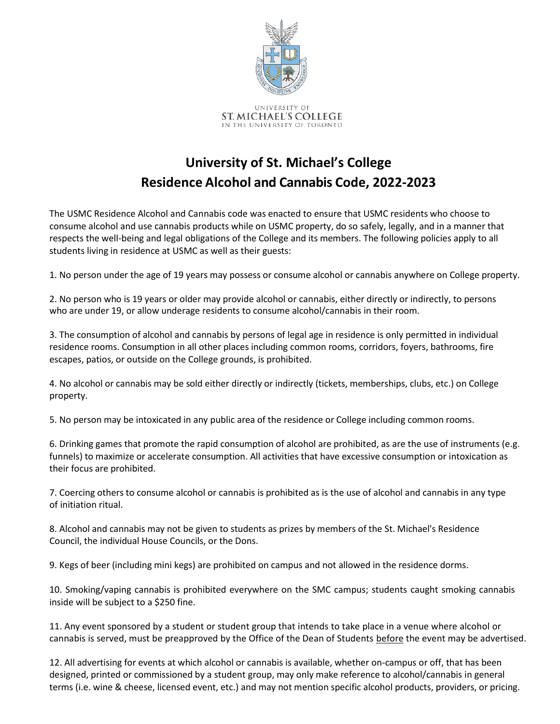

## **University of St. Michael's College Residence Alcohol and Cannabis Code, 2022-2023**

The USMC Residence Alcohol and Cannabis code was enacted to ensure that USMC residents who choose to consume alcohol and use cannabis products while on USMC property, do so safely, legally, and in a manner that respects the well-being and legal obligations of the College and its members. The following policies apply to all students living in residence at USMC as well as their guests:

1. No person under the age of 19 years may possess or consume alcohol or cannabis anywhere on College property.

2. No person who is 19 years or older may provide alcohol or cannabis, either directly or indirectly, to persons who are under 19, or allow underage residents to consume alcohol/cannabis in their room.

3. The consumption of alcohol and cannabis by persons of legal age in residence is only permitted in individual residence rooms. Consumption in all other places including common rooms, corridors, foyers, bathrooms, fire escapes, patios, or outside on the College grounds, is prohibited.

4. No alcohol or cannabis may be sold either directly or indirectly (tickets, memberships, clubs, etc.) on College property.

5. No person may be intoxicated in any public area of the residence or College including common rooms.

6. Drinking games that promote the rapid consumption of alcohol are prohibited, as are the use of instruments (e.g. funnels) to maximize or accelerate consumption. All activities that have excessive consumption or intoxication as their focus are prohibited.

7. Coercing others to consume alcohol or cannabis is prohibited as is the use of alcohol and cannabis in any type of initiation ritual.

8. Alcohol and cannabis may not be given to students as prizes by members of the St. Michael's Residence Council, the individual House Councils, or the Dons.

9. Kegs of beer (including mini kegs) are prohibited on campus and not allowed in the residence dorms.

10. Smoking/vaping cannabis is prohibited everywhere on the SMC campus; students caught smoking cannabis inside will be subject to a \$250 fine.

11. Any event sponsored by a student or student group that intends to take place in a venue where alcohol or cannabis is served, must be preapproved by the Office of the Dean of Students before the event may be advertised.

12. All advertising for events at which alcohol or cannabis is available, whether on-campus or off, that has been designed, printed or commissioned by a student group, may only make reference to alcohol/cannabis in general terms (i.e. wine & cheese, licensed event, etc.) and may not mention specific alcohol products, providers, or pricing.